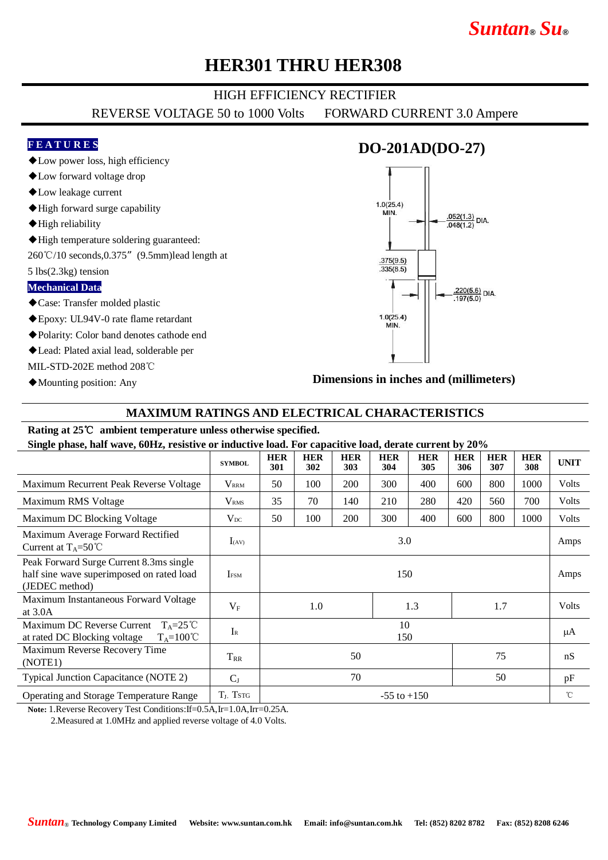# *Suntan***®** *Su***®**

## **HER301 THRU HER308**

#### HIGH EFFICIENCY RECTIFIER

REVERSE VOLTAGE 50 to 1000 Volts FORWARD CURRENT 3.0 Ampere

#### **F E A T U R E S**

◆Low power loss, high efficiency

- ◆Low forward voltage drop
- ◆Low leakage current
- ◆High forward surge capability
- ◆High reliability
- ◆High temperature soldering guaranteed:

260℃/10 seconds,0.375"(9.5mm)lead length at

5 lbs(2.3kg) tension

#### **Mechanical Data**

- ◆Case: Transfer molded plastic
- ◆Epoxy: UL94V-0 rate flame retardant
- ◆Polarity: Color band denotes cathode end
- ◆Lead: Plated axial lead, solderable per

MIL-STD-202E method 208℃

◆Mounting position: Any

### **DO-201AD(DO-27)**



**Dimensions in inches and (millimeters)**

#### **MAXIMUM RATINGS AND ELECTRICAL CHARACTERISTICS**

#### **Rating at 25**℃ **ambient temperature unless otherwise specified.**

**Single phase, half wave, 60Hz, resistive or inductive load. For capacitive load, derate current by 20%**

| 8- r                                                                                                   |                   |                   |                   |                   |                   |                   |                   |                   |                   |             |
|--------------------------------------------------------------------------------------------------------|-------------------|-------------------|-------------------|-------------------|-------------------|-------------------|-------------------|-------------------|-------------------|-------------|
|                                                                                                        | <b>SYMBOL</b>     | <b>HER</b><br>301 | <b>HER</b><br>302 | <b>HER</b><br>303 | <b>HER</b><br>304 | <b>HER</b><br>305 | <b>HER</b><br>306 | <b>HER</b><br>307 | <b>HER</b><br>308 | <b>UNIT</b> |
| Maximum Recurrent Peak Reverse Voltage                                                                 | $\rm V_{\rm RRM}$ | 50                | 100               | 200               | 300               | 400               | 600               | 800               | 1000              | Volts       |
| Maximum RMS Voltage                                                                                    | $\rm V_{RMS}$     | 35                | 70                | 140               | 210               | 280               | 420               | 560               | 700               | Volts       |
| Maximum DC Blocking Voltage                                                                            | $V_{DC}$          | 50                | 100               | 200               | 300               | 400               | 600               | 800               | 1000              | Volts       |
| Maximum Average Forward Rectified<br>Current at $T_A = 50^{\circ}$ C                                   | $I_{(AV)}$        | 3.0               |                   |                   |                   |                   |                   |                   |                   | Amps        |
| Peak Forward Surge Current 8.3ms single<br>half sine wave superimposed on rated load<br>(JEDEC method) | <b>IFSM</b>       | 150               |                   |                   |                   |                   |                   |                   |                   | Amps        |
| Maximum Instantaneous Forward Voltage<br>at $3.0A$                                                     | $V_{\rm F}$       | 1.0               |                   |                   |                   | 1.3               |                   | 1.7               |                   | Volts       |
| Maximum DC Reverse Current $T_A = 25^{\circ}C$<br>at rated DC Blocking voltage<br>$T_A = 100^{\circ}C$ | $I_{R}$           | 10<br>150         |                   |                   |                   |                   |                   |                   |                   | μA          |
| Maximum Reverse Recovery Time<br>(NOTE1)                                                               | $T_{RR}$          | 75<br>50          |                   |                   |                   |                   |                   | nS                |                   |             |
| Typical Junction Capacitance (NOTE 2)                                                                  | $C_{J}$           | 70<br>50          |                   |                   |                   |                   |                   |                   | pF                |             |
| Operating and Storage Temperature Range                                                                | $T_J$ , Tstg      | $-55$ to $+150$   |                   |                   |                   |                   |                   |                   | $^{\circ}$ C      |             |

**Note:** 1.Reverse Recovery Test Conditions:If=0.5A,Ir=1.0A,Irr=0.25A.

2.Measured at 1.0MHz and applied reverse voltage of 4.0 Volts.